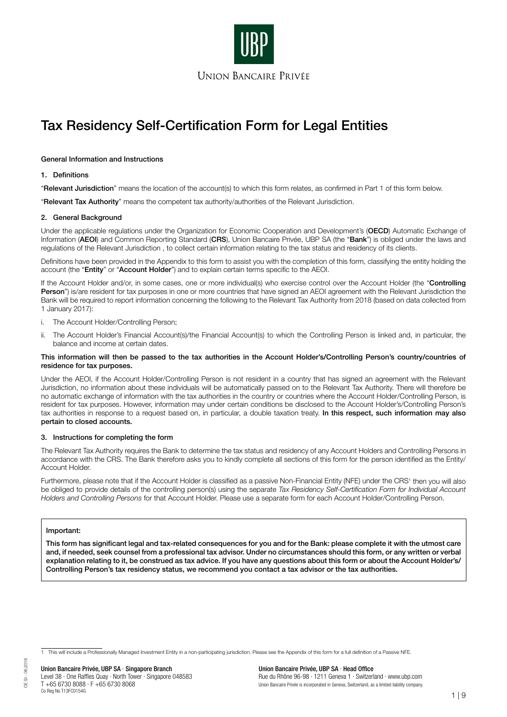

### General Information and Instructions

### 1. Definitions

"Relevant Jurisdiction" means the location of the account(s) to which this form relates, as confirmed in Part 1 of this form below.

"Relevant Tax Authority" means the competent tax authority/authorities of the Relevant Jurisdiction.

### 2. General Background

Under the applicable regulations under the Organization for Economic Cooperation and Development's (OECD) Automatic Exchange of Information (AEOI) and Common Reporting Standard (CRS), Union Bancaire Privée, UBP SA (the "Bank") is obliged under the laws and regulations of the Relevant Jurisdiction , to collect certain information relating to the tax status and residency of its clients.

Definitions have been provided in the Appendix to this form to assist you with the completion of this form, classifying the entity holding the account (the "Entity" or "Account Holder") and to explain certain terms specific to the AEOI.

If the Account Holder and/or, in some cases, one or more individual(s) who exercise control over the Account Holder (the "Controlling Person") is/are resident for tax purposes in one or more countries that have signed an AEOI agreement with the Relevant Jurisdiction the Bank will be required to report information concerning the following to the Relevant Tax Authority from 2018 (based on data collected from 1 January 2017):

- i. The Account Holder/Controlling Person;
- ii. The Account Holder's Financial Account(s)/the Financial Account(s) to which the Controlling Person is linked and, in particular, the balance and income at certain dates.

#### This information will then be passed to the tax authorities in the Account Holder's/Controlling Person's country/countries of residence for tax purposes.

Under the AEOI, if the Account Holder/Controlling Person is not resident in a country that has signed an agreement with the Relevant Jurisdiction, no information about these individuals will be automatically passed on to the Relevant Tax Authority. There will therefore be no automatic exchange of information with the tax authorities in the country or countries where the Account Holder/Controlling Person, is resident for tax purposes. However, information may under certain conditions be disclosed to the Account Holder's/Controlling Person's tax authorities in response to a request based on, in particular, a double taxation treaty. In this respect, such information may also pertain to closed accounts.

### 3. Instructions for completing the form

The Relevant Tax Authority requires the Bank to determine the tax status and residency of any Account Holders and Controlling Persons in accordance with the CRS. The Bank therefore asks you to kindly complete all sections of this form for the person identified as the Entity/ Account Holder.

Furthermore, please note that if the Account Holder is classified as a passive Non-Financial Entity (NFE) under the CRS1 then you will also be obliged to provide details of the controlling person(s) using the separate Tax Residency Self-Certification Form for Individual Account Holders and Controlling Persons for that Account Holder. Please use a separate form for each Account Holder/Controlling Person.

### Important:

This form has significant legal and tax-related consequences for you and for the Bank: please complete it with the utmost care and, if needed, seek counsel from a professional tax advisor. Under no circumstances should this form, or any written or verbal explanation relating to it, be construed as tax advice. If you have any questions about this form or about the Account Holder's/ Controlling Person's tax residency status, we recommend you contact a tax advisor or the tax authorities.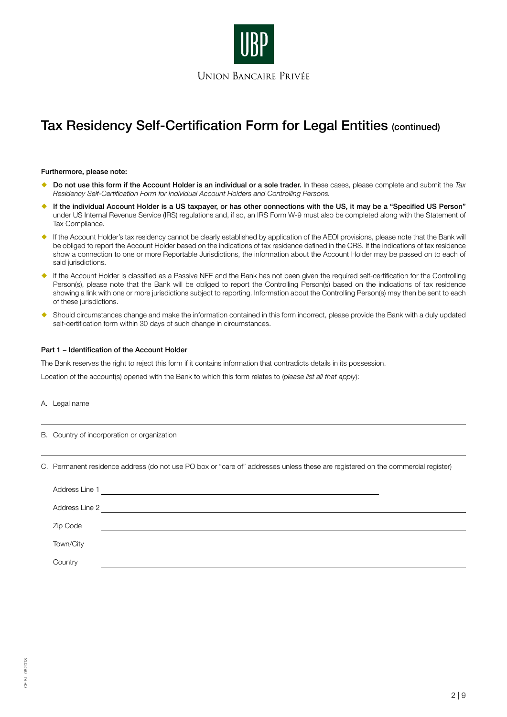

Furthermore, please note:

- Do not use this form if the Account Holder is an individual or a sole trader. In these cases, please complete and submit the Tax Residency Self-Certification Form for Individual Account Holders and Controlling Persons.
- If the individual Account Holder is a US taxpayer, or has other connections with the US, it may be a "Specified US Person" under US Internal Revenue Service (IRS) regulations and, if so, an IRS Form W-9 must also be completed along with the Statement of Tax Compliance.
- If the Account Holder's tax residency cannot be clearly established by application of the AEOI provisions, please note that the Bank will be obliged to report the Account Holder based on the indications of tax residence defined in the CRS. If the indications of tax residence show a connection to one or more Reportable Jurisdictions, the information about the Account Holder may be passed on to each of said jurisdictions.
- If the Account Holder is classified as a Passive NFE and the Bank has not been given the required self-certification for the Controlling Person(s), please note that the Bank will be obliged to report the Controlling Person(s) based on the indications of tax residence showing a link with one or more jurisdictions subject to reporting. Information about the Controlling Person(s) may then be sent to each of these jurisdictions.
- Should circumstances change and make the information contained in this form incorrect, please provide the Bank with a duly updated self-certification form within 30 days of such change in circumstances.

### Part 1 – Identification of the Account Holder

The Bank reserves the right to reject this form if it contains information that contradicts details in its possession.

Location of the account(s) opened with the Bank to which this form relates to (please list all that apply):

- A. Legal name
- B. Country of incorporation or organization
- C. Permanent residence address (do not use PO box or "care of" addresses unless these are registered on the commercial register)

| Address Line 1 |  |
|----------------|--|
| Address Line 2 |  |
| Zip Code       |  |
| Town/City      |  |
| Country        |  |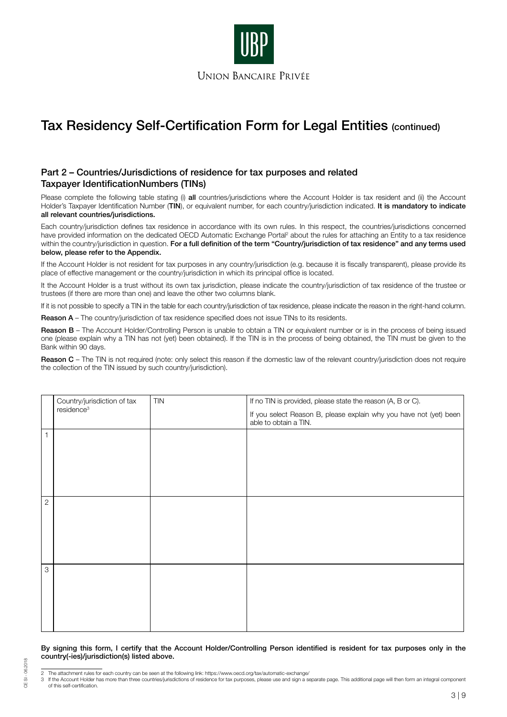

# Part 2 – Countries/Jurisdictions of residence for tax purposes and related Taxpayer IdentificationNumbers (TINs)

Please complete the following table stating (i) all countries/jurisdictions where the Account Holder is tax resident and (ii) the Account Holder's Taxpayer Identification Number (TIN), or equivalent number, for each country/jurisdiction indicated. It is mandatory to indicate all relevant countries/jurisdictions.

Each country/jurisdiction defines tax residence in accordance with its own rules. In this respect, the countries/jurisdictions concerned have provided information on the dedicated OECD Automatic Exchange Portal<sup>2</sup> about the rules for attaching an Entity to a tax residence within the country/jurisdiction in question. For a full definition of the term "Country/jurisdiction of tax residence" and any terms used below, please refer to the Appendix.

If the Account Holder is not resident for tax purposes in any country/jurisdiction (e.g. because it is fiscally transparent), please provide its place of effective management or the country/jurisdiction in which its principal office is located.

It the Account Holder is a trust without its own tax jurisdiction, please indicate the country/jurisdiction of tax residence of the trustee or trustees (if there are more than one) and leave the other two columns blank.

If it is not possible to specify a TIN in the table for each country/jurisdiction of tax residence, please indicate the reason in the right-hand column.

Reason A – The country/jurisdiction of tax residence specified does not issue TINs to its residents.

Reason B – The Account Holder/Controlling Person is unable to obtain a TIN or equivalent number or is in the process of being issued one (please explain why a TIN has not (yet) been obtained). If the TIN is in the process of being obtained, the TIN must be given to the Bank within 90 days.

Reason C – The TIN is not required (note: only select this reason if the domestic law of the relevant country/jurisdiction does not require the collection of the TIN issued by such country/jurisdiction).

|                | Country/jurisdiction of tax | <b>TIN</b> | If no TIN is provided, please state the reason (A, B or C).                                 |  |
|----------------|-----------------------------|------------|---------------------------------------------------------------------------------------------|--|
|                | residence <sup>3</sup>      |            | If you select Reason B, please explain why you have not (yet) been<br>able to obtain a TIN. |  |
| 1              |                             |            |                                                                                             |  |
|                |                             |            |                                                                                             |  |
|                |                             |            |                                                                                             |  |
|                |                             |            |                                                                                             |  |
| $\overline{c}$ |                             |            |                                                                                             |  |
|                |                             |            |                                                                                             |  |
|                |                             |            |                                                                                             |  |
|                |                             |            |                                                                                             |  |
|                |                             |            |                                                                                             |  |
| 3              |                             |            |                                                                                             |  |
|                |                             |            |                                                                                             |  |
|                |                             |            |                                                                                             |  |
|                |                             |            |                                                                                             |  |
|                |                             |            |                                                                                             |  |

By signing this form, I certify that the Account Holder/Controlling Person identified is resident for tax purposes only in the country(-ies)/jurisdiction(s) listed above.

CE SI - 06.2018

CE SI - 06.2018

If the Account Holder has more than three countries/jurisdictions of residence for tax purposes, please use and sign a separate page. This additional page will then form an integral component of this self-certification.

<sup>2</sup> The attachment rules for each country can be seen at the following link: https://www.oecd.org/tax/automatic-exchange/<br>3 If the Account Holder has more than three countries/jurisdictions of residence for tax purposes, ple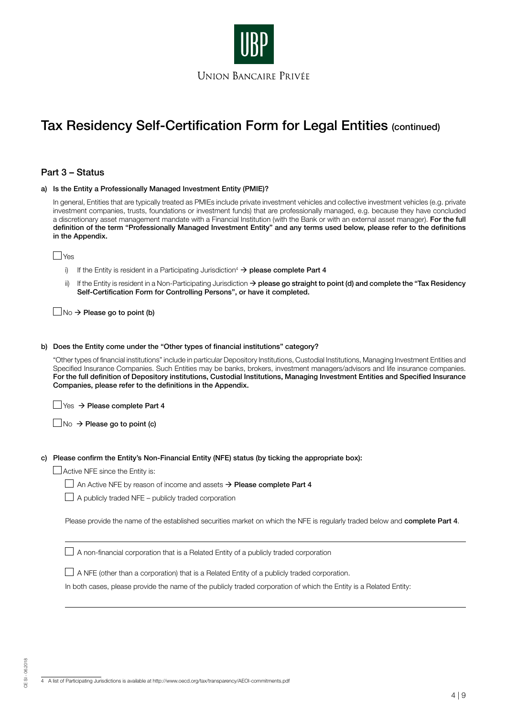

## Part 3 – Status

| a) Is the Entity a Professionally Managed Investment Entity (PMIE)?                                                                                                                                                                                                                                                                                                                                                                                                                                                                                                           |  |  |
|-------------------------------------------------------------------------------------------------------------------------------------------------------------------------------------------------------------------------------------------------------------------------------------------------------------------------------------------------------------------------------------------------------------------------------------------------------------------------------------------------------------------------------------------------------------------------------|--|--|
| In general, Entities that are typically treated as PMIEs include private investment vehicles and collective investment vehicles (e.g. private<br>investment companies, trusts, foundations or investment funds) that are professionally managed, e.g. because they have concluded<br>a discretionary asset management mandate with a Financial Institution (with the Bank or with an external asset manager). For the full<br>definition of the term "Professionally Managed Investment Entity" and any terms used below, please refer to the definitions<br>in the Appendix. |  |  |
| ⊿Yes                                                                                                                                                                                                                                                                                                                                                                                                                                                                                                                                                                          |  |  |
| If the Entity is resident in a Participating Jurisdiction <sup>4</sup> $\rightarrow$ <b>please complete Part 4</b><br>i)                                                                                                                                                                                                                                                                                                                                                                                                                                                      |  |  |
| If the Entity is resident in a Non-Participating Jurisdiction $\rightarrow$ please go straight to point (d) and complete the "Tax Residency<br>ii)<br>Self-Certification Form for Controlling Persons", or have it completed.                                                                                                                                                                                                                                                                                                                                                 |  |  |
| $\Box$ No $\rightarrow$ Please go to point (b)                                                                                                                                                                                                                                                                                                                                                                                                                                                                                                                                |  |  |
| b) Does the Entity come under the "Other types of financial institutions" category?                                                                                                                                                                                                                                                                                                                                                                                                                                                                                           |  |  |
| "Other types of financial institutions" include in particular Depository Institutions, Custodial Institutions, Managing Investment Entities and<br>Specified Insurance Companies. Such Entities may be banks, brokers, investment managers/advisors and life insurance companies.<br>For the full definition of Depository institutions, Custodial Institutions, Managing Investment Entities and Specified Insurance<br>Companies, please refer to the definitions in the Appendix.                                                                                          |  |  |
| $\exists$ Yes $\rightarrow$ Please complete Part 4                                                                                                                                                                                                                                                                                                                                                                                                                                                                                                                            |  |  |
| $\Box$ No $\rightarrow$ Please go to point (c)                                                                                                                                                                                                                                                                                                                                                                                                                                                                                                                                |  |  |
| c) Please confirm the Entity's Non-Financial Entity (NFE) status (by ticking the appropriate box):                                                                                                                                                                                                                                                                                                                                                                                                                                                                            |  |  |
| $\Box$ Active NFE since the Entity is:                                                                                                                                                                                                                                                                                                                                                                                                                                                                                                                                        |  |  |
| An Active NFE by reason of income and assets $\rightarrow$ Please complete Part 4                                                                                                                                                                                                                                                                                                                                                                                                                                                                                             |  |  |
| A publicly traded NFE - publicly traded corporation                                                                                                                                                                                                                                                                                                                                                                                                                                                                                                                           |  |  |
| Please provide the name of the established securities market on which the NFE is regularly traded below and complete Part 4.                                                                                                                                                                                                                                                                                                                                                                                                                                                  |  |  |
| $\perp$ A non-financial corporation that is a Related Entity of a publicly traded corporation                                                                                                                                                                                                                                                                                                                                                                                                                                                                                 |  |  |
| A NFE (other than a corporation) that is a Related Entity of a publicly traded corporation.                                                                                                                                                                                                                                                                                                                                                                                                                                                                                   |  |  |
| In both cases, please provide the name of the publicly traded corporation of which the Entity is a Related Entity:                                                                                                                                                                                                                                                                                                                                                                                                                                                            |  |  |
|                                                                                                                                                                                                                                                                                                                                                                                                                                                                                                                                                                               |  |  |

4 A list of Participating Jurisdictions is available at http://www.oecd.org/tax/transparency/AEOI-commitments.pdf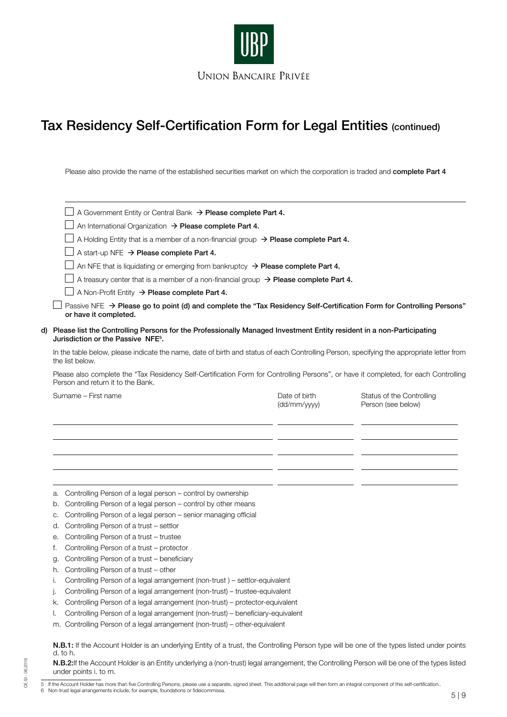

Please also provide the name of the established securities market on which the corporation is traded and complete Part 4

|                                                                                                                                                                                                                                                                                                                                           | A Government Entity or Central Bank > Please complete Part 4.                                                                                                 |                               |                                                 |  |  |                                                                                                                                                                           |
|-------------------------------------------------------------------------------------------------------------------------------------------------------------------------------------------------------------------------------------------------------------------------------------------------------------------------------------------|---------------------------------------------------------------------------------------------------------------------------------------------------------------|-------------------------------|-------------------------------------------------|--|--|---------------------------------------------------------------------------------------------------------------------------------------------------------------------------|
|                                                                                                                                                                                                                                                                                                                                           | An International Organization > Please complete Part 4.                                                                                                       |                               |                                                 |  |  |                                                                                                                                                                           |
|                                                                                                                                                                                                                                                                                                                                           | A Holding Entity that is a member of a non-financial group $\rightarrow$ Please complete Part 4.                                                              |                               |                                                 |  |  |                                                                                                                                                                           |
|                                                                                                                                                                                                                                                                                                                                           | A start-up NFE $\rightarrow$ Please complete Part 4.                                                                                                          |                               |                                                 |  |  |                                                                                                                                                                           |
|                                                                                                                                                                                                                                                                                                                                           | An NFE that is liquidating or emerging from bankruptcy $\rightarrow$ Please complete Part 4.                                                                  |                               |                                                 |  |  |                                                                                                                                                                           |
|                                                                                                                                                                                                                                                                                                                                           | A treasury center that is a member of a non-financial group $\rightarrow$ Please complete Part 4.                                                             |                               |                                                 |  |  |                                                                                                                                                                           |
|                                                                                                                                                                                                                                                                                                                                           | A Non-Profit Entity $\rightarrow$ Please complete Part 4.                                                                                                     |                               |                                                 |  |  |                                                                                                                                                                           |
| Passive NFE $\rightarrow$ Please go to point (d) and complete the "Tax Residency Self-Certification Form for Controlling Persons"<br>or have it completed.                                                                                                                                                                                |                                                                                                                                                               |                               |                                                 |  |  |                                                                                                                                                                           |
| d) Please list the Controlling Persons for the Professionally Managed Investment Entity resident in a non-Participating<br>Jurisdiction or the Passive NFE <sup>5</sup> .<br>In the table below, please indicate the name, date of birth and status of each Controlling Person, specifying the appropriate letter from<br>the list below. |                                                                                                                                                               |                               |                                                 |  |  |                                                                                                                                                                           |
|                                                                                                                                                                                                                                                                                                                                           |                                                                                                                                                               |                               |                                                 |  |  | Please also complete the "Tax Residency Self-Certification Form for Controlling Persons", or have it completed, for each Controlling<br>Person and return it to the Bank. |
|                                                                                                                                                                                                                                                                                                                                           | Surname - First name                                                                                                                                          | Date of birth<br>(dd/mm/yyyy) | Status of the Controlling<br>Person (see below) |  |  |                                                                                                                                                                           |
|                                                                                                                                                                                                                                                                                                                                           |                                                                                                                                                               |                               |                                                 |  |  |                                                                                                                                                                           |
|                                                                                                                                                                                                                                                                                                                                           |                                                                                                                                                               |                               |                                                 |  |  |                                                                                                                                                                           |
|                                                                                                                                                                                                                                                                                                                                           |                                                                                                                                                               |                               |                                                 |  |  |                                                                                                                                                                           |
|                                                                                                                                                                                                                                                                                                                                           |                                                                                                                                                               |                               |                                                 |  |  |                                                                                                                                                                           |
|                                                                                                                                                                                                                                                                                                                                           |                                                                                                                                                               |                               |                                                 |  |  |                                                                                                                                                                           |
|                                                                                                                                                                                                                                                                                                                                           |                                                                                                                                                               |                               |                                                 |  |  |                                                                                                                                                                           |
| а.                                                                                                                                                                                                                                                                                                                                        | Controlling Person of a legal person – control by ownership                                                                                                   |                               |                                                 |  |  |                                                                                                                                                                           |
| b.                                                                                                                                                                                                                                                                                                                                        | Controlling Person of a legal person - control by other means                                                                                                 |                               |                                                 |  |  |                                                                                                                                                                           |
| C.                                                                                                                                                                                                                                                                                                                                        | Controlling Person of a legal person - senior managing official                                                                                               |                               |                                                 |  |  |                                                                                                                                                                           |
| d.                                                                                                                                                                                                                                                                                                                                        | Controlling Person of a trust - settlor                                                                                                                       |                               |                                                 |  |  |                                                                                                                                                                           |
| е.                                                                                                                                                                                                                                                                                                                                        | Controlling Person of a trust - trustee                                                                                                                       |                               |                                                 |  |  |                                                                                                                                                                           |
| f.                                                                                                                                                                                                                                                                                                                                        | Controlling Person of a trust - protector                                                                                                                     |                               |                                                 |  |  |                                                                                                                                                                           |
| g.                                                                                                                                                                                                                                                                                                                                        | Controlling Person of a trust - beneficiary                                                                                                                   |                               |                                                 |  |  |                                                                                                                                                                           |
| h.                                                                                                                                                                                                                                                                                                                                        | Controlling Person of a trust - other                                                                                                                         |                               |                                                 |  |  |                                                                                                                                                                           |
| Τ.                                                                                                                                                                                                                                                                                                                                        | Controlling Person of a legal arrangement (non-trust) - settlor-equivalent                                                                                    |                               |                                                 |  |  |                                                                                                                                                                           |
| j.                                                                                                                                                                                                                                                                                                                                        | Controlling Person of a legal arrangement (non-trust) - trustee-equivalent                                                                                    |                               |                                                 |  |  |                                                                                                                                                                           |
| k.                                                                                                                                                                                                                                                                                                                                        | Controlling Person of a legal arrangement (non-trust) - protector-equivalent                                                                                  |                               |                                                 |  |  |                                                                                                                                                                           |
| I.                                                                                                                                                                                                                                                                                                                                        | Controlling Person of a legal arrangement (non-trust) - beneficiary-equivalent<br>m. Controlling Person of a legal arrangement (non-trust) - other-equivalent |                               |                                                 |  |  |                                                                                                                                                                           |

N.B.2:If the Account Holder is an Entity underlying a (non-trust) legal arrangement, the Controlling Person will be one of the types listed under points i. to m.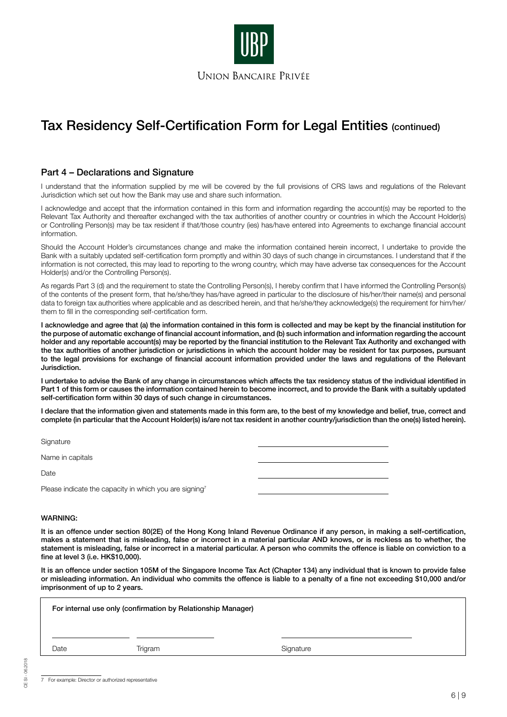

## Part 4 – Declarations and Signature

I understand that the information supplied by me will be covered by the full provisions of CRS laws and regulations of the Relevant Jurisdiction which set out how the Bank may use and share such information.

I acknowledge and accept that the information contained in this form and information regarding the account(s) may be reported to the Relevant Tax Authority and thereafter exchanged with the tax authorities of another country or countries in which the Account Holder(s) or Controlling Person(s) may be tax resident if that/those country (ies) has/have entered into Agreements to exchange financial account information.

Should the Account Holder's circumstances change and make the information contained herein incorrect, I undertake to provide the Bank with a suitably updated self-certification form promptly and within 30 days of such change in circumstances. I understand that if the information is not corrected, this may lead to reporting to the wrong country, which may have adverse tax consequences for the Account Holder(s) and/or the Controlling Person(s).

As regards Part 3 (d) and the requirement to state the Controlling Person(s), I hereby confirm that I have informed the Controlling Person(s) of the contents of the present form, that he/she/they has/have agreed in particular to the disclosure of his/her/their name(s) and personal data to foreign tax authorities where applicable and as described herein, and that he/she/they acknowledge(s) the requirement for him/her/ them to fill in the corresponding self-certification form.

I acknowledge and agree that (a) the information contained in this form is collected and may be kept by the financial institution for the purpose of automatic exchange of financial account information, and (b) such information and information regarding the account holder and any reportable account(s) may be reported by the financial institution to the Relevant Tax Authority and exchanged with the tax authorities of another jurisdiction or jurisdictions in which the account holder may be resident for tax purposes, pursuant to the legal provisions for exchange of financial account information provided under the laws and regulations of the Relevant Jurisdiction.

I undertake to advise the Bank of any change in circumstances which affects the tax residency status of the individual identified in Part 1 of this form or causes the information contained herein to become incorrect, and to provide the Bank with a suitably updated self-certification form within 30 days of such change in circumstances.

I declare that the information given and statements made in this form are, to the best of my knowledge and belief, true, correct and complete (in particular that the Account Holder(s) is/are not tax resident in another country/jurisdiction than the one(s) listed herein).

**Signature** 

Name in capitals

**Date** 

Please indicate the capacity in which you are signing<sup>7</sup>

### WARNING:

It is an offence under section 80(2E) of the Hong Kong Inland Revenue Ordinance if any person, in making a self-certification, makes a statement that is misleading, false or incorrect in a material particular AND knows, or is reckless as to whether, the statement is misleading, false or incorrect in a material particular. A person who commits the offence is liable on conviction to a fine at level 3 (i.e. HK\$10,000).

It is an offence under section 105M of the Singapore Income Tax Act (Chapter 134) any individual that is known to provide false or misleading information. An individual who commits the offence is liable to a penalty of a fine not exceeding \$10,000 and/or imprisonment of up to 2 years.

|      | For internal use only (confirmation by Relationship Manager) |           |
|------|--------------------------------------------------------------|-----------|
| Date | Trigram                                                      | Signature |

7 For example: Director or authorized representative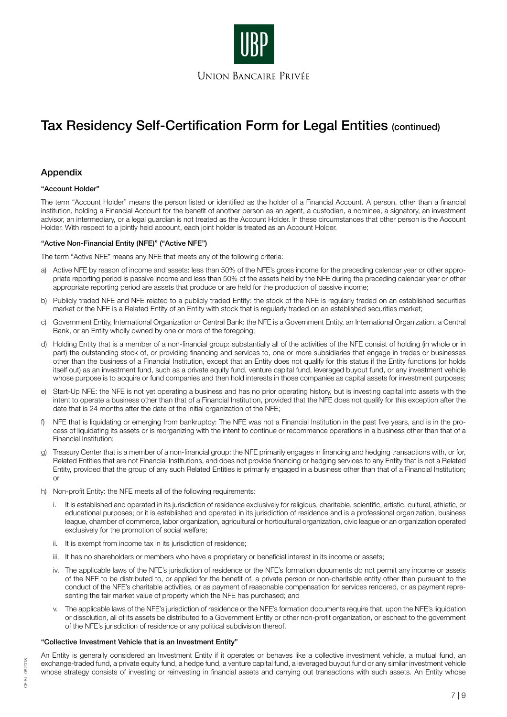

## Appendix

### "Account Holder"

The term "Account Holder" means the person listed or identified as the holder of a Financial Account. A person, other than a financial institution, holding a Financial Account for the benefit of another person as an agent, a custodian, a nominee, a signatory, an investment advisor, an intermediary, or a legal guardian is not treated as the Account Holder. In these circumstances that other person is the Account Holder. With respect to a jointly held account, each joint holder is treated as an Account Holder.

### "Active Non-Financial Entity (NFE)" ("Active NFE")

The term "Active NFE" means any NFE that meets any of the following criteria:

- a) Active NFE by reason of income and assets: less than 50% of the NFE's gross income for the preceding calendar year or other appropriate reporting period is passive income and less than 50% of the assets held by the NFE during the preceding calendar year or other appropriate reporting period are assets that produce or are held for the production of passive income;
- b) Publicly traded NFE and NFE related to a publicly traded Entity: the stock of the NFE is regularly traded on an established securities market or the NFE is a Related Entity of an Entity with stock that is regularly traded on an established securities market;
- c) Government Entity, International Organization or Central Bank: the NFE is a Government Entity, an International Organization, a Central Bank, or an Entity wholly owned by one or more of the foregoing;
- d) Holding Entity that is a member of a non-financial group: substantially all of the activities of the NFE consist of holding (in whole or in part) the outstanding stock of, or providing financing and services to, one or more subsidiaries that engage in trades or businesses other than the business of a Financial Institution, except that an Entity does not qualify for this status if the Entity functions (or holds itself out) as an investment fund, such as a private equity fund, venture capital fund, leveraged buyout fund, or any investment vehicle whose purpose is to acquire or fund companies and then hold interests in those companies as capital assets for investment purposes;
- e) Start-Up NFE: the NFE is not yet operating a business and has no prior operating history, but is investing capital into assets with the intent to operate a business other than that of a Financial Institution, provided that the NFE does not qualify for this exception after the date that is 24 months after the date of the initial organization of the NFE;
- f) NFE that is liquidating or emerging from bankruptcy: The NFE was not a Financial Institution in the past five years, and is in the process of liquidating its assets or is reorganizing with the intent to continue or recommence operations in a business other than that of a Financial Institution;
- g) Treasury Center that is a member of a non-financial group: the NFE primarily engages in financing and hedging transactions with, or for, Related Entities that are not Financial Institutions, and does not provide financing or hedging services to any Entity that is not a Related Entity, provided that the group of any such Related Entities is primarily engaged in a business other than that of a Financial Institution; or
- h) Non-profit Entity: the NFE meets all of the following requirements:
	- i. It is established and operated in its jurisdiction of residence exclusively for religious, charitable, scientific, artistic, cultural, athletic, or educational purposes; or it is established and operated in its jurisdiction of residence and is a professional organization, business league, chamber of commerce, labor organization, agricultural or horticultural organization, civic league or an organization operated exclusively for the promotion of social welfare;
	- ii. It is exempt from income tax in its jurisdiction of residence;
	- iii. It has no shareholders or members who have a proprietary or beneficial interest in its income or assets;
	- iv. The applicable laws of the NFE's jurisdiction of residence or the NFE's formation documents do not permit any income or assets of the NFE to be distributed to, or applied for the benefit of, a private person or non-charitable entity other than pursuant to the conduct of the NFE's charitable activities, or as payment of reasonable compensation for services rendered, or as payment representing the fair market value of property which the NFE has purchased; and
	- The applicable laws of the NFE's jurisdiction of residence or the NFE's formation documents require that, upon the NFE's liquidation or dissolution, all of its assets be distributed to a Government Entity or other non-profit organization, or escheat to the government of the NFE's jurisdiction of residence or any political subdivision thereof.

## "Collective Investment Vehicle that is an Investment Entity"

An Entity is generally considered an Investment Entity if it operates or behaves like a collective investment vehicle, a mutual fund, an exchange-traded fund, a private equity fund, a hedge fund, a venture capital fund, a leveraged buyout fund or any similar investment vehicle whose strategy consists of investing or reinvesting in financial assets and carrying out transactions with such assets. An Entity whose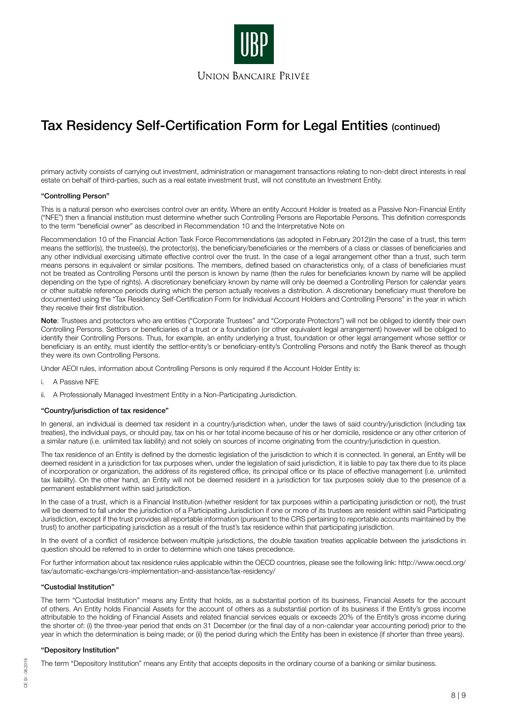

primary activity consists of carrying out investment, administration or management transactions relating to non-debt direct interests in real estate on behalf of third-parties, such as a real estate investment trust, will not constitute an Investment Entity.

#### "Controlling Person"

This is a natural person who exercises control over an entity. Where an entity Account Holder is treated as a Passive Non-Financial Entity ("NFE") then a financial institution must determine whether such Controlling Persons are Reportable Persons. This definition corresponds to the term "beneficial owner" as described in Recommendation 10 and the Interpretative Note on

Recommendation 10 of the Financial Action Task Force Recommendations (as adopted in February 2012)In the case of a trust, this term means the settlor(s), the trustee(s), the protector(s), the beneficiary/beneficiaries or the members of a class or classes of beneficiaries and any other individual exercising ultimate effective control over the trust. In the case of a legal arrangement other than a trust, such term means persons in equivalent or similar positions. The members, defined based on characteristics only, of a class of beneficiaries must not be treated as Controlling Persons until the person is known by name (then the rules for beneficiaries known by name will be applied depending on the type of rights). A discretionary beneficiary known by name will only be deemed a Controlling Person for calendar years or other suitable reference periods during which the person actually receives a distribution. A discretionary beneficiary must therefore be documented using the "Tax Residency Self-Certification Form for Individual Account Holders and Controlling Persons" in the year in which they receive their first distribution.

Note: Trustees and protectors who are entities ("Corporate Trustees" and "Corporate Protectors") will not be obliged to identify their own Controlling Persons. Settlors or beneficiaries of a trust or a foundation (or other equivalent legal arrangement) however will be obliged to identify their Controlling Persons. Thus, for example, an entity underlying a trust, foundation or other legal arrangement whose settlor or beneficiary is an entity, must identify the settlor-entity's or beneficiary-entity's Controlling Persons and notify the Bank thereof as though they were its own Controlling Persons.

Under AEOI rules, information about Controlling Persons is only required if the Account Holder Entity is:

- i. A Passive NFE
- ii. A Professionally Managed Investment Entity in a Non-Participating Jurisdiction.

#### "Country/jurisdiction of tax residence"

In general, an individual is deemed tax resident in a country/jurisdiction when, under the laws of said country/jurisdiction (including tax treaties), the individual pays, or should pay, tax on his or her total income because of his or her domicile, residence or any other criterion of a similar nature (i.e. unlimited tax liability) and not solely on sources of income originating from the country/jurisdiction in question.

The tax residence of an Entity is defined by the domestic legislation of the jurisdiction to which it is connected. In general, an Entity will be deemed resident in a jurisdiction for tax purposes when, under the legislation of said jurisdiction, it is liable to pay tax there due to its place of incorporation or organization, the address of its registered office, its principal office or its place of effective management (i.e. unlimited tax liability). On the other hand, an Entity will not be deemed resident in a jurisdiction for tax purposes solely due to the presence of a permanent establishment within said jurisdiction.

In the case of a trust, which is a Financial Institution (whether resident for tax purposes within a participating jurisdiction or not), the trust will be deemed to fall under the jurisdiction of a Participating Jurisdiction if one or more of its trustees are resident within said Participating Jurisdiction, except if the trust provides all reportable information (pursuant to the CRS pertaining to reportable accounts maintained by the trust) to another participating jurisdiction as a result of the trust's tax residence within that participating jurisdiction.

In the event of a conflict of residence between multiple jurisdictions, the double taxation treaties applicable between the jurisdictions in question should be referred to in order to determine which one takes precedence.

For further information about tax residence rules applicable within the OECD countries, please see the following link: http://www.oecd.org/ tax/automatic-exchange/crs-implementation-and-assistance/tax-residency/

#### "Custodial Institution"

The term "Custodial Institution" means any Entity that holds, as a substantial portion of its business, Financial Assets for the account of others. An Entity holds Financial Assets for the account of others as a substantial portion of its business if the Entity's gross income attributable to the holding of Financial Assets and related financial services equals or exceeds 20% of the Entity's gross income during the shorter of: (i) the three-year period that ends on 31 December (or the final day of a non-calendar year accounting period) prior to the year in which the determination is being made; or (ii) the period during which the Entity has been in existence (if shorter than three years).

### "Depository Institution"

The term "Depository Institution" means any Entity that accepts deposits in the ordinary course of a banking or similar business.